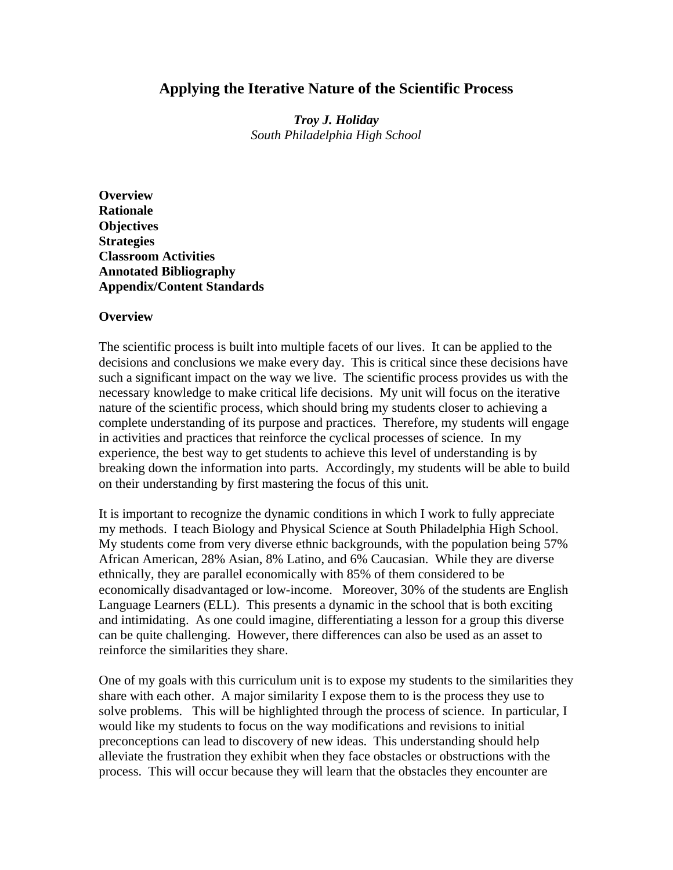# **Applying the Iterative Nature of the Scientific Process**

*Troy J. Holiday South Philadelphia High School* 

**Overview Rationale Objectives Strategies Classroom Activities Annotated Bibliography Appendix/Content Standards** 

### **Overview**

The scientific process is built into multiple facets of our lives. It can be applied to the decisions and conclusions we make every day. This is critical since these decisions have such a significant impact on the way we live. The scientific process provides us with the necessary knowledge to make critical life decisions. My unit will focus on the iterative nature of the scientific process, which should bring my students closer to achieving a complete understanding of its purpose and practices. Therefore, my students will engage in activities and practices that reinforce the cyclical processes of science. In my experience, the best way to get students to achieve this level of understanding is by breaking down the information into parts. Accordingly, my students will be able to build on their understanding by first mastering the focus of this unit.

It is important to recognize the dynamic conditions in which I work to fully appreciate my methods. I teach Biology and Physical Science at South Philadelphia High School. My students come from very diverse ethnic backgrounds, with the population being 57% African American, 28% Asian, 8% Latino, and 6% Caucasian. While they are diverse ethnically, they are parallel economically with 85% of them considered to be economically disadvantaged or low-income. Moreover, 30% of the students are English Language Learners (ELL). This presents a dynamic in the school that is both exciting and intimidating. As one could imagine, differentiating a lesson for a group this diverse can be quite challenging. However, there differences can also be used as an asset to reinforce the similarities they share.

One of my goals with this curriculum unit is to expose my students to the similarities they share with each other. A major similarity I expose them to is the process they use to solve problems. This will be highlighted through the process of science. In particular, I would like my students to focus on the way modifications and revisions to initial preconceptions can lead to discovery of new ideas. This understanding should help alleviate the frustration they exhibit when they face obstacles or obstructions with the process. This will occur because they will learn that the obstacles they encounter are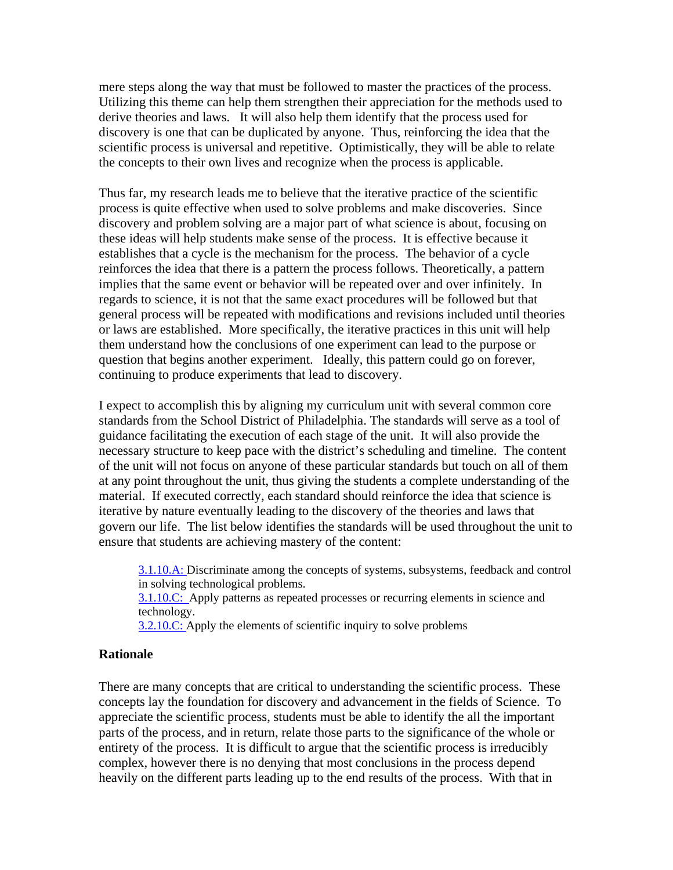mere steps along the way that must be followed to master the practices of the process. Utilizing this theme can help them strengthen their appreciation for the methods used to derive theories and laws. It will also help them identify that the process used for discovery is one that can be duplicated by anyone. Thus, reinforcing the idea that the scientific process is universal and repetitive. Optimistically, they will be able to relate the concepts to their own lives and recognize when the process is applicable.

Thus far, my research leads me to believe that the iterative practice of the scientific process is quite effective when used to solve problems and make discoveries. Since discovery and problem solving are a major part of what science is about, focusing on these ideas will help students make sense of the process. It is effective because it establishes that a cycle is the mechanism for the process. The behavior of a cycle reinforces the idea that there is a pattern the process follows. Theoretically, a pattern implies that the same event or behavior will be repeated over and over infinitely. In regards to science, it is not that the same exact procedures will be followed but that general process will be repeated with modifications and revisions included until theories or laws are established. More specifically, the iterative practices in this unit will help them understand how the conclusions of one experiment can lead to the purpose or question that begins another experiment. Ideally, this pattern could go on forever, continuing to produce experiments that lead to discovery.

I expect to accomplish this by aligning my curriculum unit with several common core standards from the School District of Philadelphia. The standards will serve as a tool of guidance facilitating the execution of each stage of the unit. It will also provide the necessary structure to keep pace with the district's scheduling and timeline. The content of the unit will not focus on anyone of these particular standards but touch on all of them at any point throughout the unit, thus giving the students a complete understanding of the material. If executed correctly, each standard should reinforce the idea that science is iterative by nature eventually leading to the discovery of the theories and laws that govern our life. The list below identifies the standards will be used throughout the unit to ensure that students are achieving mastery of the content:

3.1.10.A: Discriminate among the concepts of systems, subsystems, feedback and control in solving technological problems.

3.1.10.C: Apply patterns as repeated processes or recurring elements in science and technology.

3.2.10.C: Apply the elements of scientific inquiry to solve problems

#### **Rationale**

There are many concepts that are critical to understanding the scientific process. These concepts lay the foundation for discovery and advancement in the fields of Science. To appreciate the scientific process, students must be able to identify the all the important parts of the process, and in return, relate those parts to the significance of the whole or entirety of the process. It is difficult to argue that the scientific process is irreducibly complex, however there is no denying that most conclusions in the process depend heavily on the different parts leading up to the end results of the process. With that in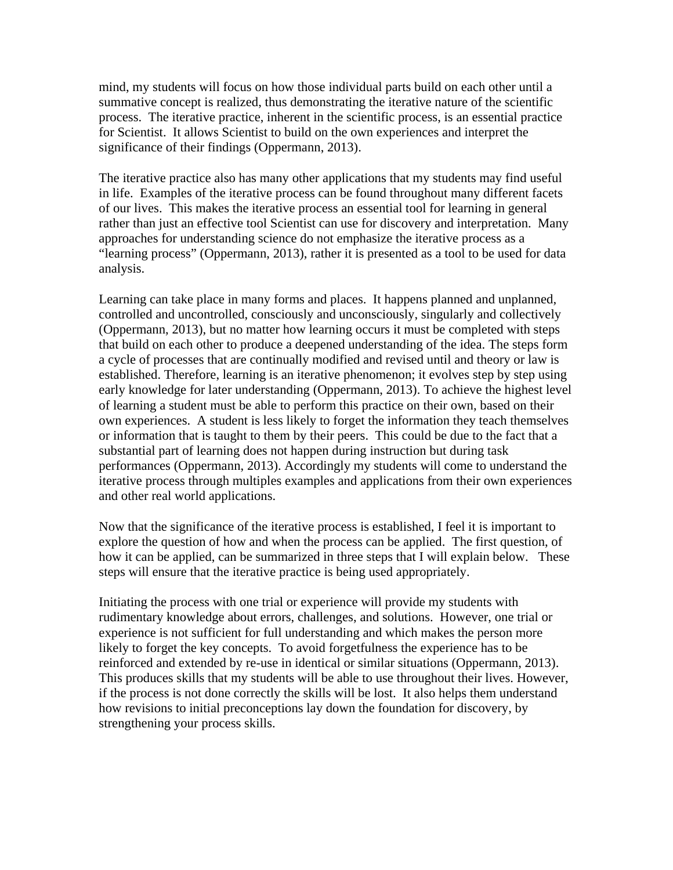mind, my students will focus on how those individual parts build on each other until a summative concept is realized, thus demonstrating the iterative nature of the scientific process. The iterative practice, inherent in the scientific process, is an essential practice for Scientist. It allows Scientist to build on the own experiences and interpret the significance of their findings (Oppermann, 2013).

The iterative practice also has many other applications that my students may find useful in life. Examples of the iterative process can be found throughout many different facets of our lives. This makes the iterative process an essential tool for learning in general rather than just an effective tool Scientist can use for discovery and interpretation. Many approaches for understanding science do not emphasize the iterative process as a "learning process" (Oppermann, 2013), rather it is presented as a tool to be used for data analysis.

Learning can take place in many forms and places. It happens planned and unplanned, controlled and uncontrolled, consciously and unconsciously, singularly and collectively (Oppermann, 2013), but no matter how learning occurs it must be completed with steps that build on each other to produce a deepened understanding of the idea. The steps form a cycle of processes that are continually modified and revised until and theory or law is established. Therefore, learning is an iterative phenomenon; it evolves step by step using early knowledge for later understanding (Oppermann, 2013). To achieve the highest level of learning a student must be able to perform this practice on their own, based on their own experiences. A student is less likely to forget the information they teach themselves or information that is taught to them by their peers. This could be due to the fact that a substantial part of learning does not happen during instruction but during task performances (Oppermann, 2013). Accordingly my students will come to understand the iterative process through multiples examples and applications from their own experiences and other real world applications.

Now that the significance of the iterative process is established, I feel it is important to explore the question of how and when the process can be applied. The first question, of how it can be applied, can be summarized in three steps that I will explain below. These steps will ensure that the iterative practice is being used appropriately.

Initiating the process with one trial or experience will provide my students with rudimentary knowledge about errors, challenges, and solutions. However, one trial or experience is not sufficient for full understanding and which makes the person more likely to forget the key concepts. To avoid forgetfulness the experience has to be reinforced and extended by re-use in identical or similar situations (Oppermann, 2013). This produces skills that my students will be able to use throughout their lives. However, if the process is not done correctly the skills will be lost. It also helps them understand how revisions to initial preconceptions lay down the foundation for discovery, by strengthening your process skills.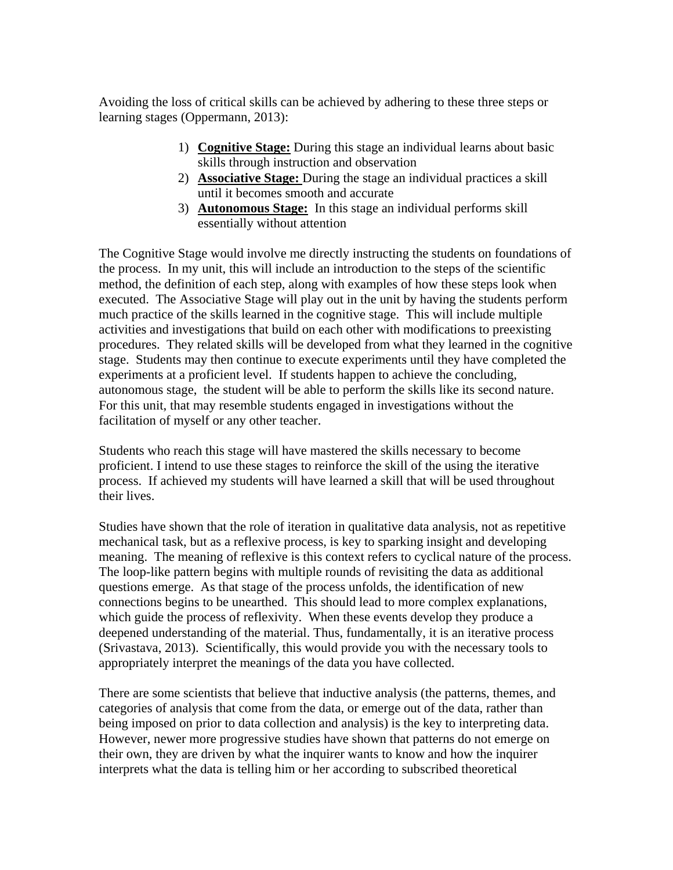Avoiding the loss of critical skills can be achieved by adhering to these three steps or learning stages (Oppermann, 2013):

- 1) **Cognitive Stage:** During this stage an individual learns about basic skills through instruction and observation
- 2) **Associative Stage:** During the stage an individual practices a skill until it becomes smooth and accurate
- 3) **Autonomous Stage:** In this stage an individual performs skill essentially without attention

The Cognitive Stage would involve me directly instructing the students on foundations of the process. In my unit, this will include an introduction to the steps of the scientific method, the definition of each step, along with examples of how these steps look when executed. The Associative Stage will play out in the unit by having the students perform much practice of the skills learned in the cognitive stage. This will include multiple activities and investigations that build on each other with modifications to preexisting procedures. They related skills will be developed from what they learned in the cognitive stage. Students may then continue to execute experiments until they have completed the experiments at a proficient level. If students happen to achieve the concluding, autonomous stage, the student will be able to perform the skills like its second nature. For this unit, that may resemble students engaged in investigations without the facilitation of myself or any other teacher.

Students who reach this stage will have mastered the skills necessary to become proficient. I intend to use these stages to reinforce the skill of the using the iterative process. If achieved my students will have learned a skill that will be used throughout their lives.

Studies have shown that the role of iteration in qualitative data analysis, not as repetitive mechanical task, but as a reflexive process, is key to sparking insight and developing meaning. The meaning of reflexive is this context refers to cyclical nature of the process. The loop-like pattern begins with multiple rounds of revisiting the data as additional questions emerge. As that stage of the process unfolds, the identification of new connections begins to be unearthed. This should lead to more complex explanations, which guide the process of reflexivity. When these events develop they produce a deepened understanding of the material. Thus, fundamentally, it is an iterative process (Srivastava, 2013). Scientifically, this would provide you with the necessary tools to appropriately interpret the meanings of the data you have collected.

There are some scientists that believe that inductive analysis (the patterns, themes, and categories of analysis that come from the data, or emerge out of the data, rather than being imposed on prior to data collection and analysis) is the key to interpreting data. However, newer more progressive studies have shown that patterns do not emerge on their own, they are driven by what the inquirer wants to know and how the inquirer interprets what the data is telling him or her according to subscribed theoretical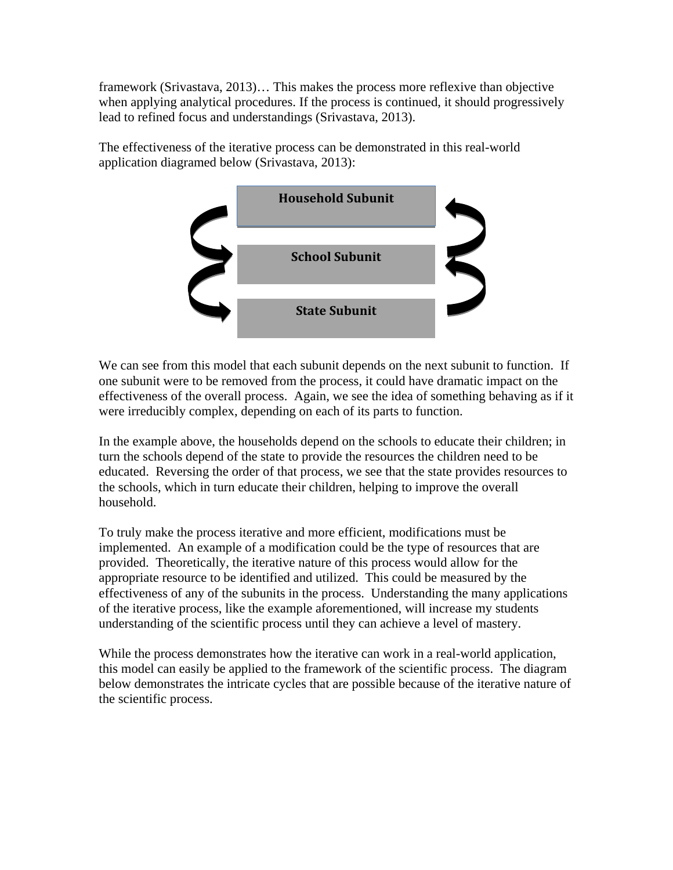framework (Srivastava, 2013)… This makes the process more reflexive than objective when applying analytical procedures. If the process is continued, it should progressively lead to refined focus and understandings (Srivastava, 2013).

The effectiveness of the iterative process can be demonstrated in this real-world application diagramed below (Srivastava, 2013):



We can see from this model that each subunit depends on the next subunit to function. If one subunit were to be removed from the process, it could have dramatic impact on the effectiveness of the overall process. Again, we see the idea of something behaving as if it were irreducibly complex, depending on each of its parts to function.

In the example above, the households depend on the schools to educate their children; in turn the schools depend of the state to provide the resources the children need to be educated. Reversing the order of that process, we see that the state provides resources to the schools, which in turn educate their children, helping to improve the overall household.

To truly make the process iterative and more efficient, modifications must be implemented. An example of a modification could be the type of resources that are provided. Theoretically, the iterative nature of this process would allow for the appropriate resource to be identified and utilized. This could be measured by the effectiveness of any of the subunits in the process. Understanding the many applications of the iterative process, like the example aforementioned, will increase my students understanding of the scientific process until they can achieve a level of mastery.

While the process demonstrates how the iterative can work in a real-world application, this model can easily be applied to the framework of the scientific process. The diagram below demonstrates the intricate cycles that are possible because of the iterative nature of the scientific process.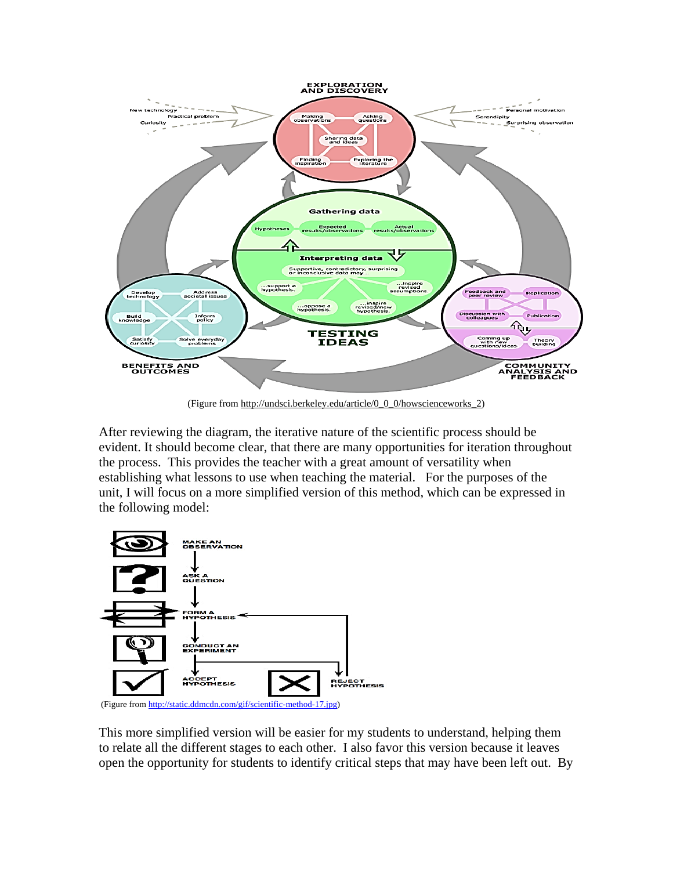

(Figure from http://undsci.berkeley.edu/article/0\_0\_0/howscienceworks\_2)

After reviewing the diagram, the iterative nature of the scientific process should be evident. It should become clear, that there are many opportunities for iteration throughout the process. This provides the teacher with a great amount of versatility when establishing what lessons to use when teaching the material. For the purposes of the unit, I will focus on a more simplified version of this method, which can be expressed in the following model:



(Figure from [http://static.ddmcdn.com/gif/scientific-method-17.jpg\)](http://static.ddmcdn.com/gif/scientific-method-17.jpg)

This more simplified version will be easier for my students to understand, helping them to relate all the different stages to each other. I also favor this version because it leaves open the opportunity for students to identify critical steps that may have been left out. By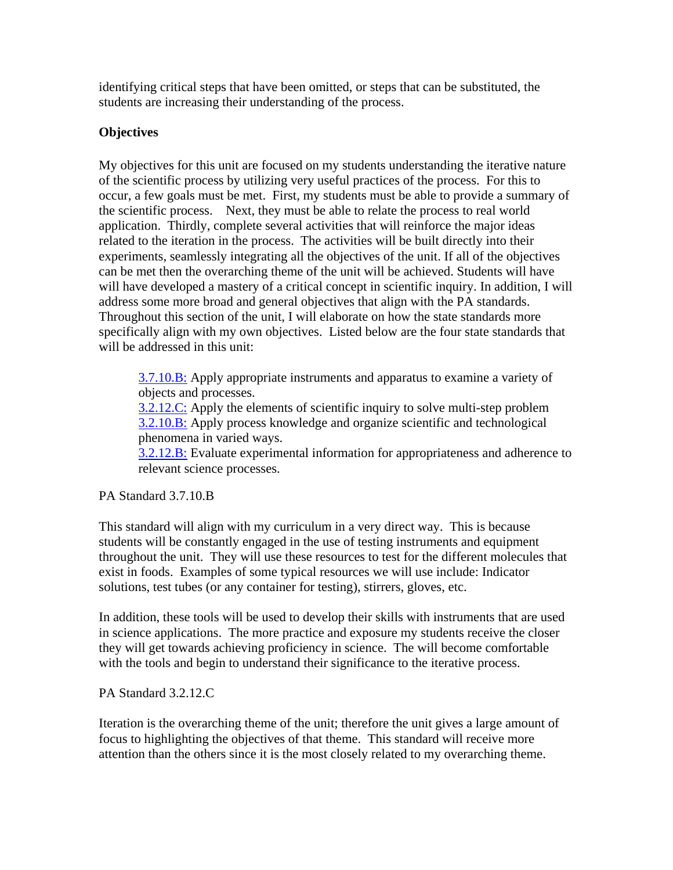identifying critical steps that have been omitted, or steps that can be substituted, the students are increasing their understanding of the process.

# **Objectives**

My objectives for this unit are focused on my students understanding the iterative nature of the scientific process by utilizing very useful practices of the process. For this to occur, a few goals must be met. First, my students must be able to provide a summary of the scientific process. Next, they must be able to relate the process to real world application. Thirdly, complete several activities that will reinforce the major ideas related to the iteration in the process. The activities will be built directly into their experiments, seamlessly integrating all the objectives of the unit. If all of the objectives can be met then the overarching theme of the unit will be achieved. Students will have will have developed a mastery of a critical concept in scientific inquiry. In addition, I will address some more broad and general objectives that align with the PA standards. Throughout this section of the unit, I will elaborate on how the state standards more specifically align with my own objectives. Listed below are the four state standards that will be addressed in this unit:

[3.7.10.B:](https://phila.schoolnet.com/StandardDetail.aspx?content_id=b0f882b5-c562-4c94-aefc-e6f608f3da75&referrer=%7e%2fAlign%2fCurriculumDetail.aspx%3fcontent_id%3dBB31CA58-6148-4D7B-915A-A4D10579F725%26curr_nav_id%3d3%26referrer%3d%257e%252fAlign%252fMaterials.aspx%253fcontrol%253dCurriculumSearchControl.ascx) Apply appropriate instruments and apparatus to examine a variety of objects and processes.

[3.2.12.C:](https://phila.schoolnet.com/StandardDetail.aspx?content_id=8d35a297-b822-4057-87f5-7f83b4014b1f&referrer=%7e%2fAlign%2fCurriculumDetail.aspx%3fcontent_id%3dBB31CA58-6148-4D7B-915A-A4D10579F725%26curr_nav_id%3d3%26referrer%3d%257e%252fAlign%252fMaterials.aspx%253fcontrol%253dCurriculumSearchControl.ascx) Apply the elements of scientific inquiry to solve multi-step problem [3.2.10.B:](https://phila.schoolnet.com/StandardDetail.aspx?content_id=1f1c5b2e-0be1-452f-860c-51ba337fb00c&referrer=%7e%2fAlign%2fCurriculumDetail.aspx%3fcontent_id%3dBB31CA58-6148-4D7B-915A-A4D10579F725%26curr_nav_id%3d3%26referrer%3d%257e%252fAlign%252fMaterials.aspx%253fcontrol%253dCurriculumSearchControl.ascx) Apply process knowledge and organize scientific and technological phenomena in varied ways.

[3.2.12.B:](https://phila.schoolnet.com/StandardDetail.aspx?content_id=b47d9a11-b286-4506-a38b-19167e38dd3e&referrer=%7e%2fAlign%2fCurriculumDetail.aspx%3fcontent_id%3dBB31CA58-6148-4D7B-915A-A4D10579F725%26curr_nav_id%3d3%26referrer%3d%257e%252fAlign%252fMaterials.aspx%253fcontrol%253dCurriculumSearchControl.ascx) Evaluate experimental information for appropriateness and adherence to relevant science processes.

PA Standard 3.7.10.B

This standard will align with my curriculum in a very direct way. This is because students will be constantly engaged in the use of testing instruments and equipment throughout the unit. They will use these resources to test for the different molecules that exist in foods. Examples of some typical resources we will use include: Indicator solutions, test tubes (or any container for testing), stirrers, gloves, etc.

In addition, these tools will be used to develop their skills with instruments that are used in science applications. The more practice and exposure my students receive the closer they will get towards achieving proficiency in science. The will become comfortable with the tools and begin to understand their significance to the iterative process.

PA Standard 3.2.12.C

Iteration is the overarching theme of the unit; therefore the unit gives a large amount of focus to highlighting the objectives of that theme. This standard will receive more attention than the others since it is the most closely related to my overarching theme.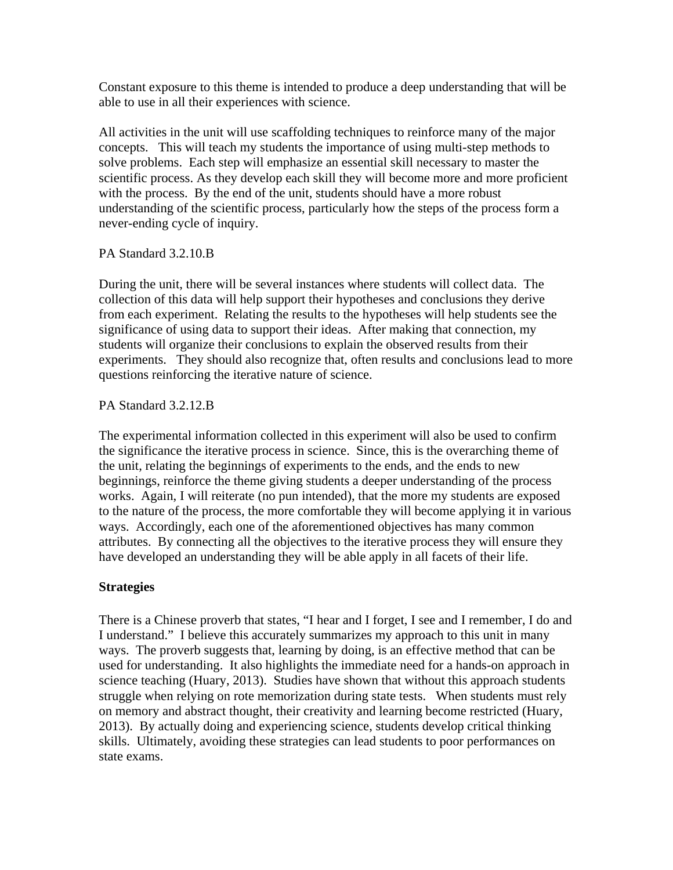Constant exposure to this theme is intended to produce a deep understanding that will be able to use in all their experiences with science.

All activities in the unit will use scaffolding techniques to reinforce many of the major concepts. This will teach my students the importance of using multi-step methods to solve problems. Each step will emphasize an essential skill necessary to master the scientific process. As they develop each skill they will become more and more proficient with the process. By the end of the unit, students should have a more robust understanding of the scientific process, particularly how the steps of the process form a never-ending cycle of inquiry.

PA Standard 3.2.10.B

During the unit, there will be several instances where students will collect data. The collection of this data will help support their hypotheses and conclusions they derive from each experiment. Relating the results to the hypotheses will help students see the significance of using data to support their ideas. After making that connection, my students will organize their conclusions to explain the observed results from their experiments. They should also recognize that, often results and conclusions lead to more questions reinforcing the iterative nature of science.

PA Standard 3.2.12.B

The experimental information collected in this experiment will also be used to confirm the significance the iterative process in science. Since, this is the overarching theme of the unit, relating the beginnings of experiments to the ends, and the ends to new beginnings, reinforce the theme giving students a deeper understanding of the process works. Again, I will reiterate (no pun intended), that the more my students are exposed to the nature of the process, the more comfortable they will become applying it in various ways. Accordingly, each one of the aforementioned objectives has many common attributes. By connecting all the objectives to the iterative process they will ensure they have developed an understanding they will be able apply in all facets of their life.

# **Strategies**

There is a Chinese proverb that states, "I hear and I forget, I see and I remember, I do and I understand." I believe this accurately summarizes my approach to this unit in many ways. The proverb suggests that, learning by doing, is an effective method that can be used for understanding. It also highlights the immediate need for a hands-on approach in science teaching (Huary, 2013). Studies have shown that without this approach students struggle when relying on rote memorization during state tests. When students must rely on memory and abstract thought, their creativity and learning become restricted (Huary, 2013). By actually doing and experiencing science, students develop critical thinking skills. Ultimately, avoiding these strategies can lead students to poor performances on state exams.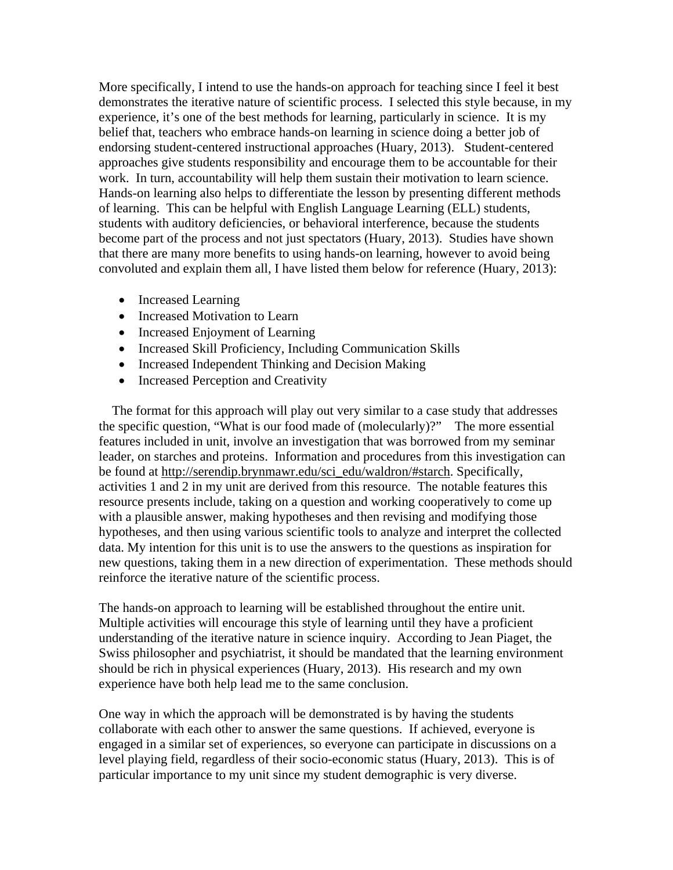More specifically, I intend to use the hands-on approach for teaching since I feel it best demonstrates the iterative nature of scientific process. I selected this style because, in my experience, it's one of the best methods for learning, particularly in science. It is my belief that, teachers who embrace hands-on learning in science doing a better job of endorsing student-centered instructional approaches (Huary, 2013). Student-centered approaches give students responsibility and encourage them to be accountable for their work. In turn, accountability will help them sustain their motivation to learn science. Hands-on learning also helps to differentiate the lesson by presenting different methods of learning. This can be helpful with English Language Learning (ELL) students, students with auditory deficiencies, or behavioral interference, because the students become part of the process and not just spectators (Huary, 2013). Studies have shown that there are many more benefits to using hands-on learning, however to avoid being convoluted and explain them all, I have listed them below for reference (Huary, 2013):

- Increased Learning
- Increased Motivation to Learn
- Increased Enjoyment of Learning
- Increased Skill Proficiency, Including Communication Skills
- Increased Independent Thinking and Decision Making
- Increased Perception and Creativity

The format for this approach will play out very similar to a case study that addresses the specific question, "What is our food made of (molecularly)?" The more essential features included in unit, involve an investigation that was borrowed from my seminar leader, on starches and proteins. Information and procedures from this investigation can be found at [http://serendip.brynmawr.edu/sci\\_edu/waldron/#starch.](http://serendip.brynmawr.edu/sci_edu/waldron/#starch) Specifically, activities 1 and 2 in my unit are derived from this resource. The notable features this resource presents include, taking on a question and working cooperatively to come up with a plausible answer, making hypotheses and then revising and modifying those hypotheses, and then using various scientific tools to analyze and interpret the collected data. My intention for this unit is to use the answers to the questions as inspiration for new questions, taking them in a new direction of experimentation. These methods should reinforce the iterative nature of the scientific process.

The hands-on approach to learning will be established throughout the entire unit. Multiple activities will encourage this style of learning until they have a proficient understanding of the iterative nature in science inquiry. According to Jean Piaget, the Swiss philosopher and psychiatrist, it should be mandated that the learning environment should be rich in physical experiences (Huary, 2013). His research and my own experience have both help lead me to the same conclusion.

One way in which the approach will be demonstrated is by having the students collaborate with each other to answer the same questions. If achieved, everyone is engaged in a similar set of experiences, so everyone can participate in discussions on a level playing field, regardless of their socio-economic status (Huary, 2013). This is of particular importance to my unit since my student demographic is very diverse.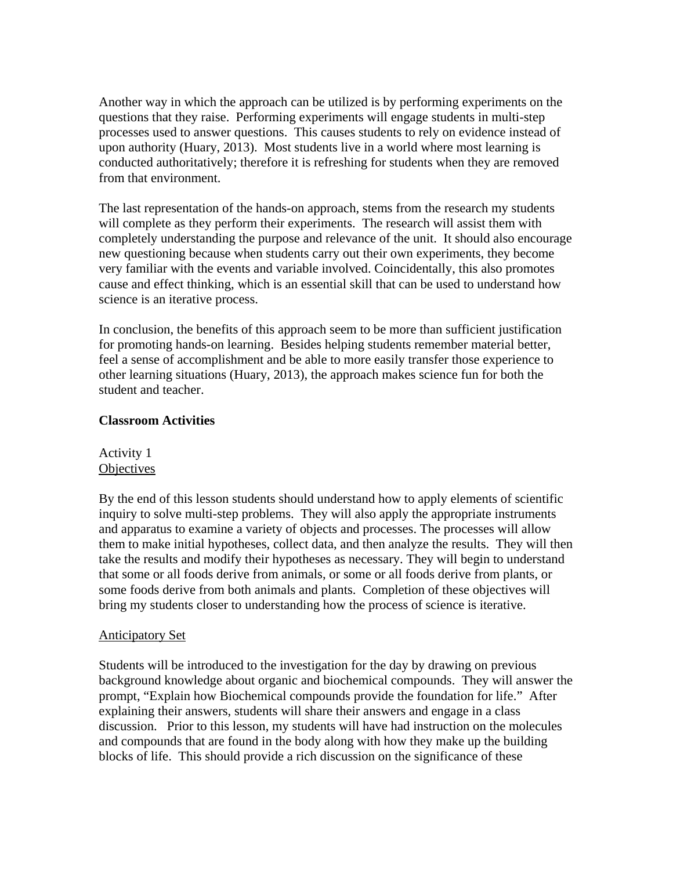Another way in which the approach can be utilized is by performing experiments on the questions that they raise. Performing experiments will engage students in multi-step processes used to answer questions. This causes students to rely on evidence instead of upon authority (Huary, 2013). Most students live in a world where most learning is conducted authoritatively; therefore it is refreshing for students when they are removed from that environment.

The last representation of the hands-on approach, stems from the research my students will complete as they perform their experiments. The research will assist them with completely understanding the purpose and relevance of the unit. It should also encourage new questioning because when students carry out their own experiments, they become very familiar with the events and variable involved. Coincidentally, this also promotes cause and effect thinking, which is an essential skill that can be used to understand how science is an iterative process.

In conclusion, the benefits of this approach seem to be more than sufficient justification for promoting hands-on learning. Besides helping students remember material better, feel a sense of accomplishment and be able to more easily transfer those experience to other learning situations (Huary, 2013), the approach makes science fun for both the student and teacher.

### **Classroom Activities**

# Activity 1 **Objectives**

By the end of this lesson students should understand how to apply elements of scientific inquiry to solve multi-step problems. They will also apply the appropriate instruments and apparatus to examine a variety of objects and processes. The processes will allow them to make initial hypotheses, collect data, and then analyze the results. They will then take the results and modify their hypotheses as necessary. They will begin to understand that some or all foods derive from animals, or some or all foods derive from plants, or some foods derive from both animals and plants. Completion of these objectives will bring my students closer to understanding how the process of science is iterative.

### Anticipatory Set

Students will be introduced to the investigation for the day by drawing on previous background knowledge about organic and biochemical compounds. They will answer the prompt, "Explain how Biochemical compounds provide the foundation for life." After explaining their answers, students will share their answers and engage in a class discussion. Prior to this lesson, my students will have had instruction on the molecules and compounds that are found in the body along with how they make up the building blocks of life. This should provide a rich discussion on the significance of these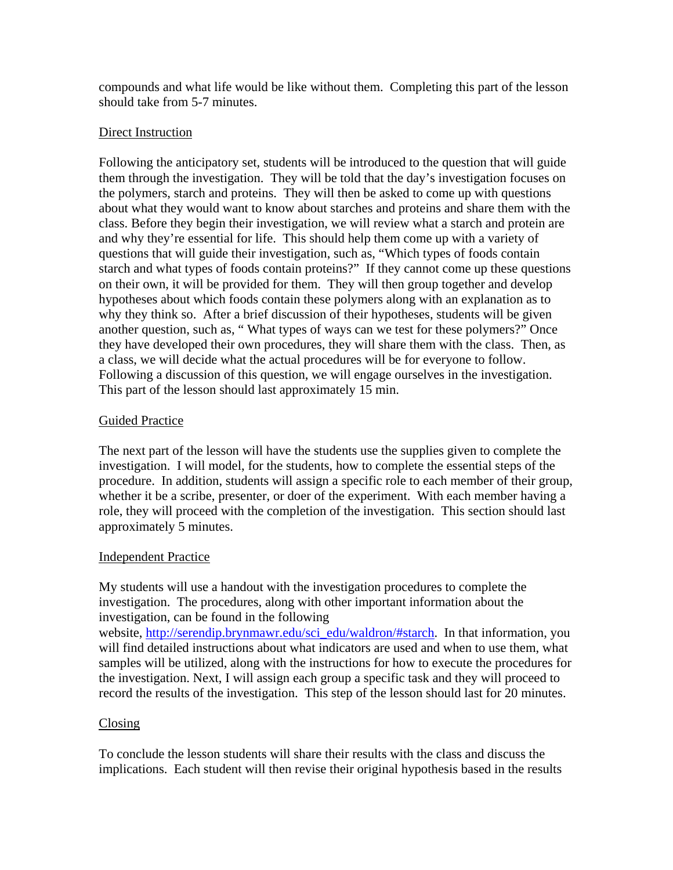compounds and what life would be like without them. Completing this part of the lesson should take from 5-7 minutes.

# Direct Instruction

Following the anticipatory set, students will be introduced to the question that will guide them through the investigation. They will be told that the day's investigation focuses on the polymers, starch and proteins. They will then be asked to come up with questions about what they would want to know about starches and proteins and share them with the class. Before they begin their investigation, we will review what a starch and protein are and why they're essential for life. This should help them come up with a variety of questions that will guide their investigation, such as, "Which types of foods contain starch and what types of foods contain proteins?" If they cannot come up these questions on their own, it will be provided for them. They will then group together and develop hypotheses about which foods contain these polymers along with an explanation as to why they think so. After a brief discussion of their hypotheses, students will be given another question, such as, " What types of ways can we test for these polymers?" Once they have developed their own procedures, they will share them with the class. Then, as a class, we will decide what the actual procedures will be for everyone to follow. Following a discussion of this question, we will engage ourselves in the investigation. This part of the lesson should last approximately 15 min.

# Guided Practice

The next part of the lesson will have the students use the supplies given to complete the investigation. I will model, for the students, how to complete the essential steps of the procedure. In addition, students will assign a specific role to each member of their group, whether it be a scribe, presenter, or doer of the experiment. With each member having a role, they will proceed with the completion of the investigation. This section should last approximately 5 minutes.

# Independent Practice

My students will use a handout with the investigation procedures to complete the investigation. The procedures, along with other important information about the investigation, can be found in the following

website, [http://serendip.brynmawr.edu/sci\\_edu/waldron/#starch](http://serendip.brynmawr.edu/sci_edu/waldron/#starch). In that information, you will find detailed instructions about what indicators are used and when to use them, what samples will be utilized, along with the instructions for how to execute the procedures for the investigation. Next, I will assign each group a specific task and they will proceed to record the results of the investigation. This step of the lesson should last for 20 minutes.

# Closing

To conclude the lesson students will share their results with the class and discuss the implications. Each student will then revise their original hypothesis based in the results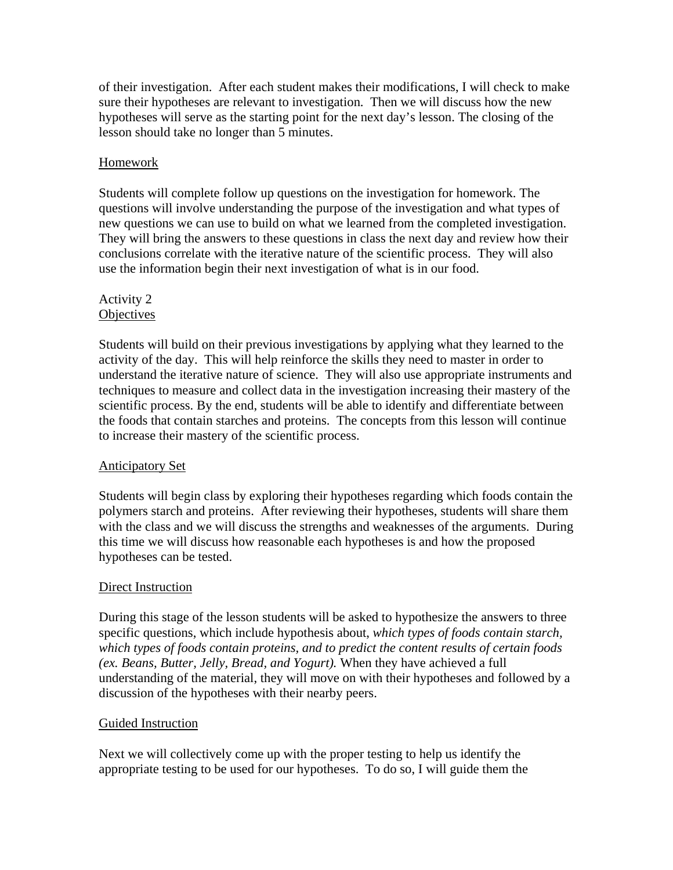of their investigation. After each student makes their modifications, I will check to make sure their hypotheses are relevant to investigation. Then we will discuss how the new hypotheses will serve as the starting point for the next day's lesson. The closing of the lesson should take no longer than 5 minutes.

# **Homework**

Students will complete follow up questions on the investigation for homework. The questions will involve understanding the purpose of the investigation and what types of new questions we can use to build on what we learned from the completed investigation. They will bring the answers to these questions in class the next day and review how their conclusions correlate with the iterative nature of the scientific process. They will also use the information begin their next investigation of what is in our food.

#### Activity 2 **Objectives**

Students will build on their previous investigations by applying what they learned to the activity of the day. This will help reinforce the skills they need to master in order to understand the iterative nature of science. They will also use appropriate instruments and techniques to measure and collect data in the investigation increasing their mastery of the scientific process. By the end, students will be able to identify and differentiate between the foods that contain starches and proteins. The concepts from this lesson will continue to increase their mastery of the scientific process.

### Anticipatory Set

Students will begin class by exploring their hypotheses regarding which foods contain the polymers starch and proteins. After reviewing their hypotheses, students will share them with the class and we will discuss the strengths and weaknesses of the arguments. During this time we will discuss how reasonable each hypotheses is and how the proposed hypotheses can be tested.

### Direct Instruction

During this stage of the lesson students will be asked to hypothesize the answers to three specific questions, which include hypothesis about, *which types of foods contain starch, which types of foods contain proteins, and to predict the content results of certain foods (ex. Beans, Butter, Jelly, Bread, and Yogurt).* When they have achieved a full understanding of the material, they will move on with their hypotheses and followed by a discussion of the hypotheses with their nearby peers.

### Guided Instruction

Next we will collectively come up with the proper testing to help us identify the appropriate testing to be used for our hypotheses. To do so, I will guide them the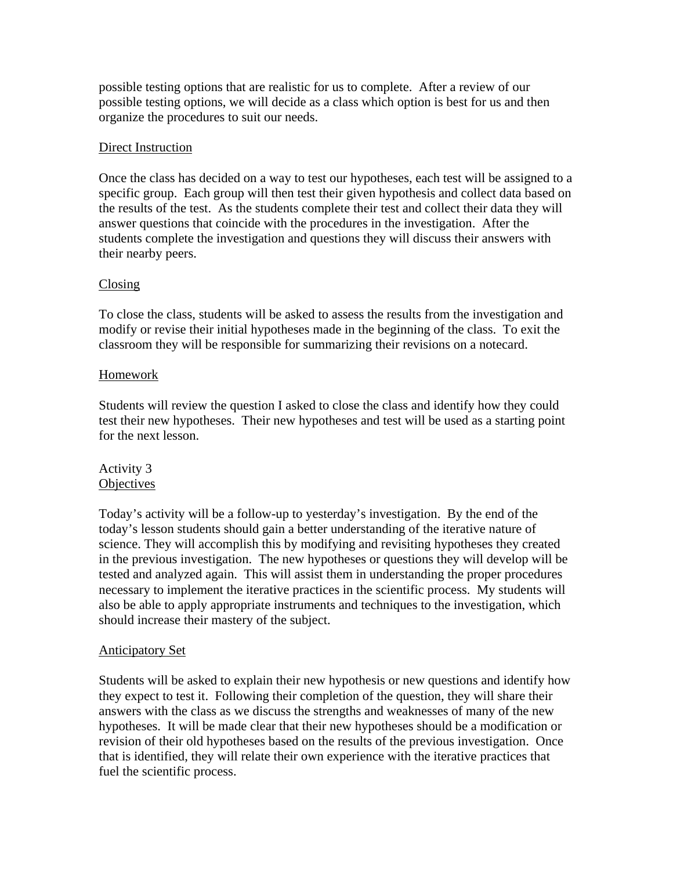possible testing options that are realistic for us to complete. After a review of our possible testing options, we will decide as a class which option is best for us and then organize the procedures to suit our needs.

### Direct Instruction

Once the class has decided on a way to test our hypotheses, each test will be assigned to a specific group. Each group will then test their given hypothesis and collect data based on the results of the test. As the students complete their test and collect their data they will answer questions that coincide with the procedures in the investigation. After the students complete the investigation and questions they will discuss their answers with their nearby peers.

# Closing

To close the class, students will be asked to assess the results from the investigation and modify or revise their initial hypotheses made in the beginning of the class. To exit the classroom they will be responsible for summarizing their revisions on a notecard.

# Homework

Students will review the question I asked to close the class and identify how they could test their new hypotheses. Their new hypotheses and test will be used as a starting point for the next lesson.

### Activity 3 **Objectives**

Today's activity will be a follow-up to yesterday's investigation. By the end of the today's lesson students should gain a better understanding of the iterative nature of science. They will accomplish this by modifying and revisiting hypotheses they created in the previous investigation. The new hypotheses or questions they will develop will be tested and analyzed again. This will assist them in understanding the proper procedures necessary to implement the iterative practices in the scientific process. My students will also be able to apply appropriate instruments and techniques to the investigation, which should increase their mastery of the subject.

### Anticipatory Set

Students will be asked to explain their new hypothesis or new questions and identify how they expect to test it. Following their completion of the question, they will share their answers with the class as we discuss the strengths and weaknesses of many of the new hypotheses. It will be made clear that their new hypotheses should be a modification or revision of their old hypotheses based on the results of the previous investigation. Once that is identified, they will relate their own experience with the iterative practices that fuel the scientific process.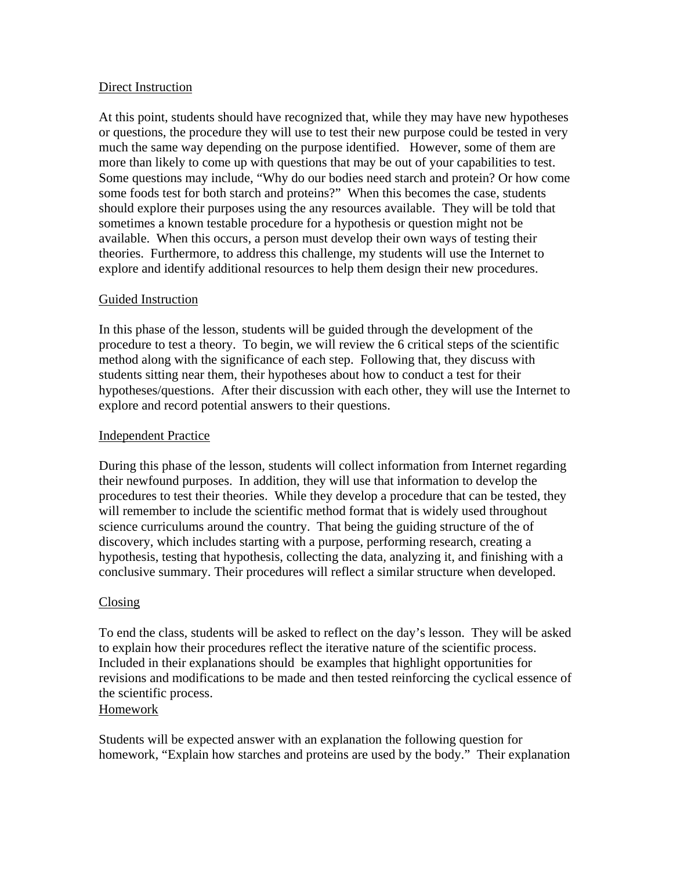#### Direct Instruction

At this point, students should have recognized that, while they may have new hypotheses or questions, the procedure they will use to test their new purpose could be tested in very much the same way depending on the purpose identified. However, some of them are more than likely to come up with questions that may be out of your capabilities to test. Some questions may include, "Why do our bodies need starch and protein? Or how come some foods test for both starch and proteins?" When this becomes the case, students should explore their purposes using the any resources available. They will be told that sometimes a known testable procedure for a hypothesis or question might not be available. When this occurs, a person must develop their own ways of testing their theories. Furthermore, to address this challenge, my students will use the Internet to explore and identify additional resources to help them design their new procedures.

### Guided Instruction

In this phase of the lesson, students will be guided through the development of the procedure to test a theory. To begin, we will review the 6 critical steps of the scientific method along with the significance of each step. Following that, they discuss with students sitting near them, their hypotheses about how to conduct a test for their hypotheses/questions. After their discussion with each other, they will use the Internet to explore and record potential answers to their questions.

#### Independent Practice

During this phase of the lesson, students will collect information from Internet regarding their newfound purposes. In addition, they will use that information to develop the procedures to test their theories. While they develop a procedure that can be tested, they will remember to include the scientific method format that is widely used throughout science curriculums around the country. That being the guiding structure of the of discovery, which includes starting with a purpose, performing research, creating a hypothesis, testing that hypothesis, collecting the data, analyzing it, and finishing with a conclusive summary. Their procedures will reflect a similar structure when developed.

#### Closing

To end the class, students will be asked to reflect on the day's lesson. They will be asked to explain how their procedures reflect the iterative nature of the scientific process. Included in their explanations should be examples that highlight opportunities for revisions and modifications to be made and then tested reinforcing the cyclical essence of the scientific process.

#### Homework

Students will be expected answer with an explanation the following question for homework, "Explain how starches and proteins are used by the body." Their explanation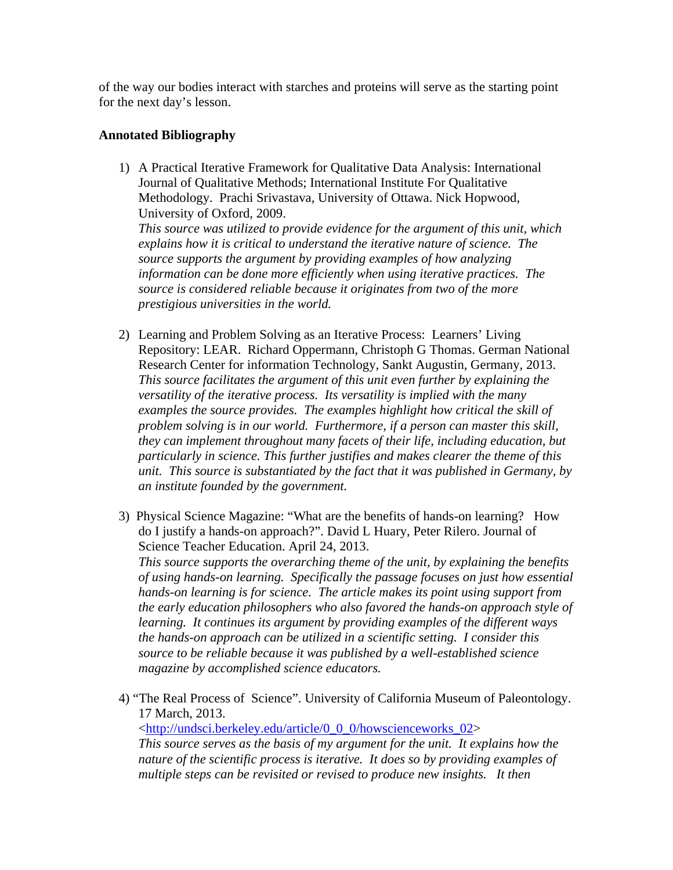of the way our bodies interact with starches and proteins will serve as the starting point for the next day's lesson.

## **Annotated Bibliography**

- 1) A Practical Iterative Framework for Qualitative Data Analysis: International Journal of Qualitative Methods; International Institute For Qualitative Methodology. Prachi Srivastava, University of Ottawa. Nick Hopwood, University of Oxford, 2009. *This source was utilized to provide evidence for the argument of this unit, which explains how it is critical to understand the iterative nature of science. The source supports the argument by providing examples of how analyzing information can be done more efficiently when using iterative practices. The source is considered reliable because it originates from two of the more prestigious universities in the world.*
- 2) Learning and Problem Solving as an Iterative Process: Learners' Living Repository: LEAR. Richard Oppermann, Christoph G Thomas. German National Research Center for information Technology, Sankt Augustin, Germany, 2013. *This source facilitates the argument of this unit even further by explaining the versatility of the iterative process. Its versatility is implied with the many examples the source provides. The examples highlight how critical the skill of problem solving is in our world. Furthermore, if a person can master this skill, they can implement throughout many facets of their life, including education, but particularly in science. This further justifies and makes clearer the theme of this unit. This source is substantiated by the fact that it was published in Germany, by an institute founded by the government.*
- 3) Physical Science Magazine: "What are the benefits of hands-on learning? How do I justify a hands-on approach?". David L Huary, Peter Rilero. Journal of Science Teacher Education. April 24, 2013. *This source supports the overarching theme of the unit, by explaining the benefits of using hands-on learning. Specifically the passage focuses on just how essential hands-on learning is for science. The article makes its point using support from the early education philosophers who also favored the hands-on approach style of learning. It continues its argument by providing examples of the different ways the hands-on approach can be utilized in a scientific setting. I consider this source to be reliable because it was published by a well-established science magazine by accomplished science educators.*
- 4) "The Real Process of Science". University of California Museum of Paleontology. 17 March, 2013. <[http://undsci.berkeley.edu/article/0\\_0\\_0/howscienceworks\\_02>](http://undsci.berkeley.edu/article/0_0_0/howscienceworks_02) *This source serves as the basis of my argument for the unit. It explains how the nature of the scientific process is iterative. It does so by providing examples of multiple steps can be revisited or revised to produce new insights. It then*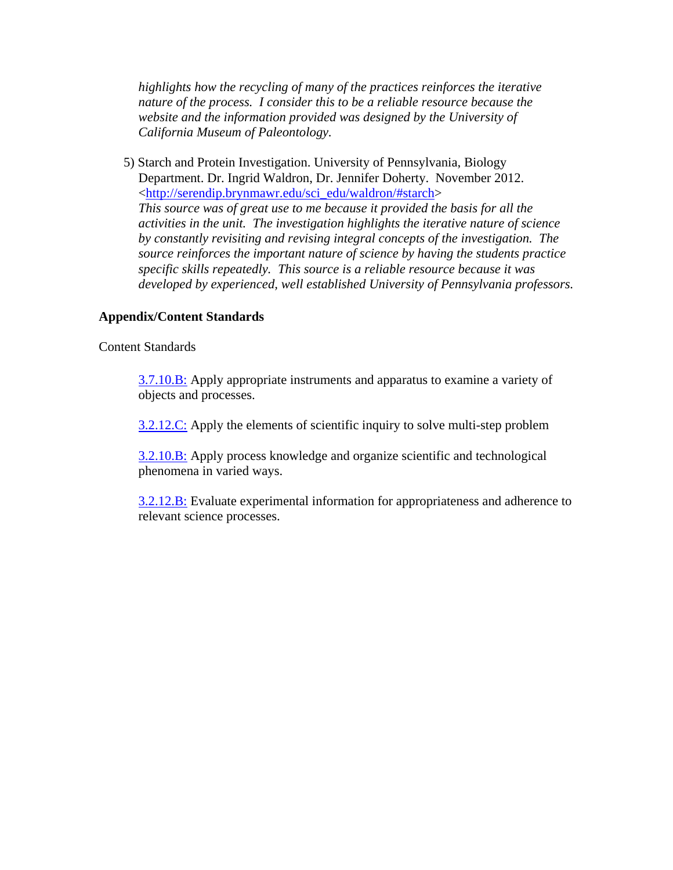*highlights how the recycling of many of the practices reinforces the iterative nature of the process. I consider this to be a reliable resource because the website and the information provided was designed by the University of California Museum of Paleontology.* 

5) Starch and Protein Investigation. University of Pennsylvania, Biology Department. Dr. Ingrid Waldron, Dr. Jennifer Doherty. November 2012. <[http://serendip.brynmawr.edu/sci\\_edu/waldron/#starch](http://serendip.brynmawr.edu/sci_edu/waldron/#starch)> *This source was of great use to me because it provided the basis for all the activities in the unit. The investigation highlights the iterative nature of science by constantly revisiting and revising integral concepts of the investigation. The source reinforces the important nature of science by having the students practice specific skills repeatedly. This source is a reliable resource because it was developed by experienced, well established University of Pennsylvania professors.* 

#### **Appendix/Content Standards**

#### Content Standards

[3.7.10.B:](https://phila.schoolnet.com/StandardDetail.aspx?content_id=b0f882b5-c562-4c94-aefc-e6f608f3da75&referrer=%7e%2fAlign%2fCurriculumDetail.aspx%3fcontent_id%3dBB31CA58-6148-4D7B-915A-A4D10579F725%26curr_nav_id%3d3%26referrer%3d%257e%252fAlign%252fMaterials.aspx%253fcontrol%253dCurriculumSearchControl.ascx) Apply appropriate instruments and apparatus to examine a variety of objects and processes.

[3.2.12.C:](https://phila.schoolnet.com/StandardDetail.aspx?content_id=8d35a297-b822-4057-87f5-7f83b4014b1f&referrer=%7e%2fAlign%2fCurriculumDetail.aspx%3fcontent_id%3dBB31CA58-6148-4D7B-915A-A4D10579F725%26curr_nav_id%3d3%26referrer%3d%257e%252fAlign%252fMaterials.aspx%253fcontrol%253dCurriculumSearchControl.ascx) Apply the elements of scientific inquiry to solve multi-step problem

[3.2.10.B:](https://phila.schoolnet.com/StandardDetail.aspx?content_id=1f1c5b2e-0be1-452f-860c-51ba337fb00c&referrer=%7e%2fAlign%2fCurriculumDetail.aspx%3fcontent_id%3dBB31CA58-6148-4D7B-915A-A4D10579F725%26curr_nav_id%3d3%26referrer%3d%257e%252fAlign%252fMaterials.aspx%253fcontrol%253dCurriculumSearchControl.ascx) Apply process knowledge and organize scientific and technological phenomena in varied ways.

[3.2.12.B:](https://phila.schoolnet.com/StandardDetail.aspx?content_id=b47d9a11-b286-4506-a38b-19167e38dd3e&referrer=%7e%2fAlign%2fCurriculumDetail.aspx%3fcontent_id%3dBB31CA58-6148-4D7B-915A-A4D10579F725%26curr_nav_id%3d3%26referrer%3d%257e%252fAlign%252fMaterials.aspx%253fcontrol%253dCurriculumSearchControl.ascx) Evaluate experimental information for appropriateness and adherence to relevant science processes.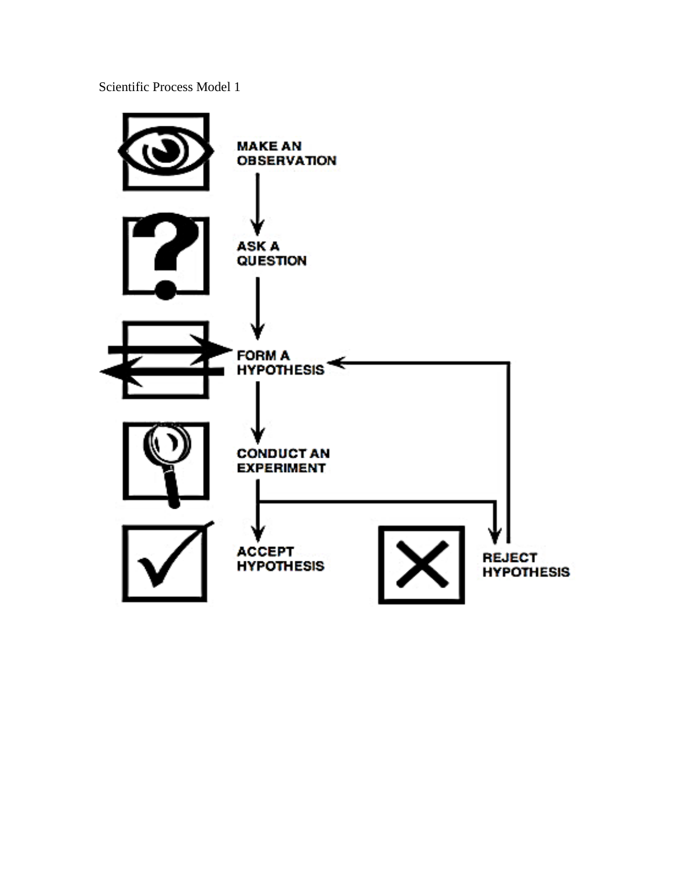Scientific Process Model 1